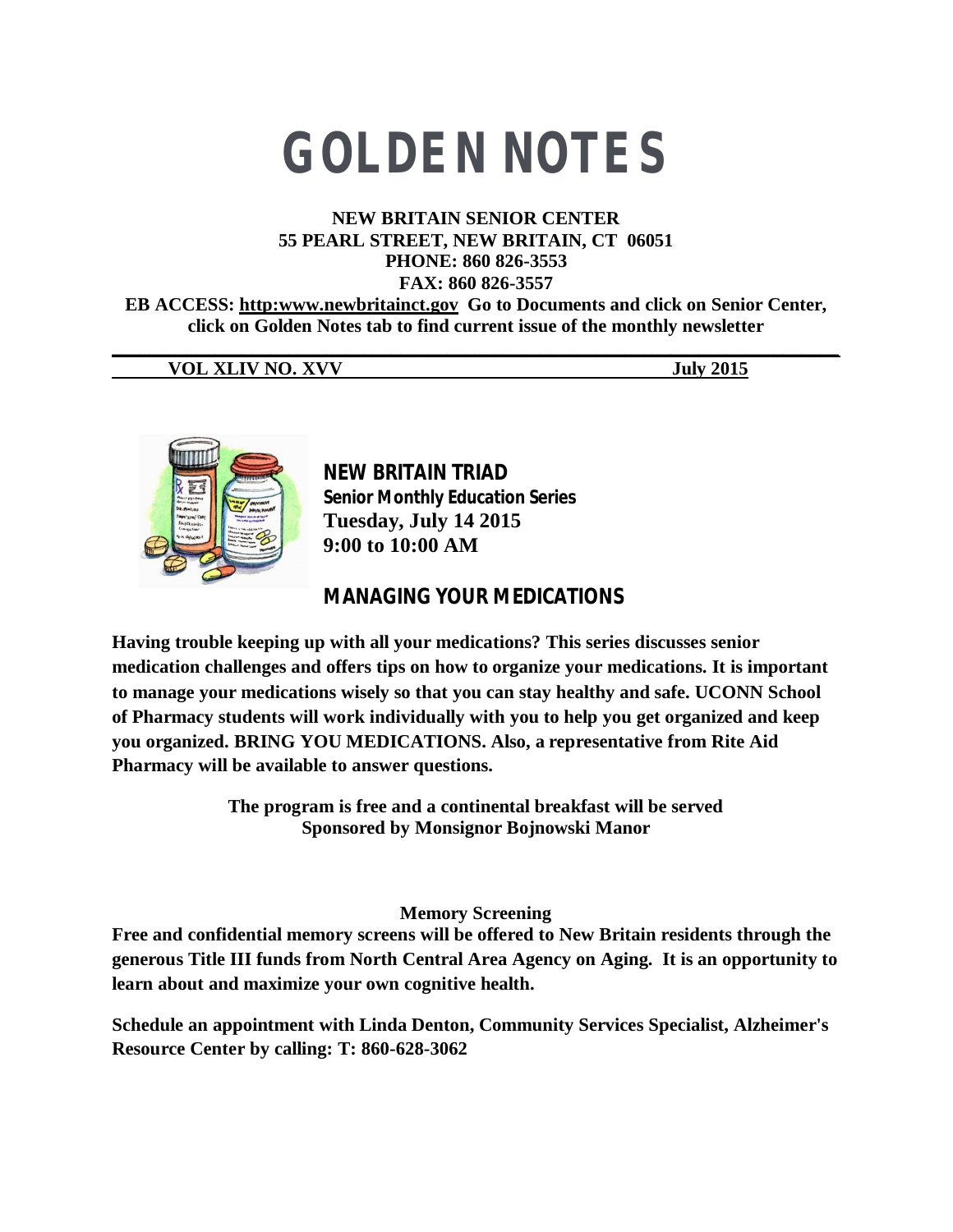# **GOLDEN NOTES**

### **NEW BRITAIN SENIOR CENTER 55 PEARL STREET, NEW BRITAIN, CT 06051 PHONE: 860 826-3553 FAX: 860 826-3557**

**EB ACCESS: http:www.newbritainct.gov Go to Documents and click on Senior Center, click on Golden Notes tab to find current issue of the monthly newsletter** 

**\_\_\_\_\_\_\_\_\_\_\_\_\_\_\_\_\_\_\_\_\_\_\_\_\_\_\_\_\_\_\_\_\_\_\_\_\_\_\_\_\_\_\_\_\_\_\_\_\_\_\_\_\_\_\_\_\_\_\_\_\_\_\_\_\_\_\_\_\_\_\_\_\_\_\_\_\_\_ VOL XLIV NO. XVV July 2015**



**NEW BRITAIN TRIAD Senior Monthly Education Series Tuesday, July 14 2015 9:00 to 10:00 AM**

# **MANAGING YOUR MEDICATIONS**

**Having trouble keeping up with all your medications? This series discusses senior medication challenges and offers tips on how to organize your medications. It is important to manage your medications wisely so that you can stay healthy and safe. UCONN School of Pharmacy students will work individually with you to help you get organized and keep you organized. BRING YOU MEDICATIONS. Also, a representative from Rite Aid Pharmacy will be available to answer questions.**

> **The program is free and a continental breakfast will be served Sponsored by Monsignor Bojnowski Manor**

> > **Memory Screening**

**Free and confidential memory screens will be offered to New Britain residents through the generous Title III funds from North Central Area Agency on Aging. It is an opportunity to learn about and maximize your own cognitive health.**

**Schedule an appointment with Linda Denton, Community Services Specialist, Alzheimer's Resource Center by calling: T: 860-628-3062**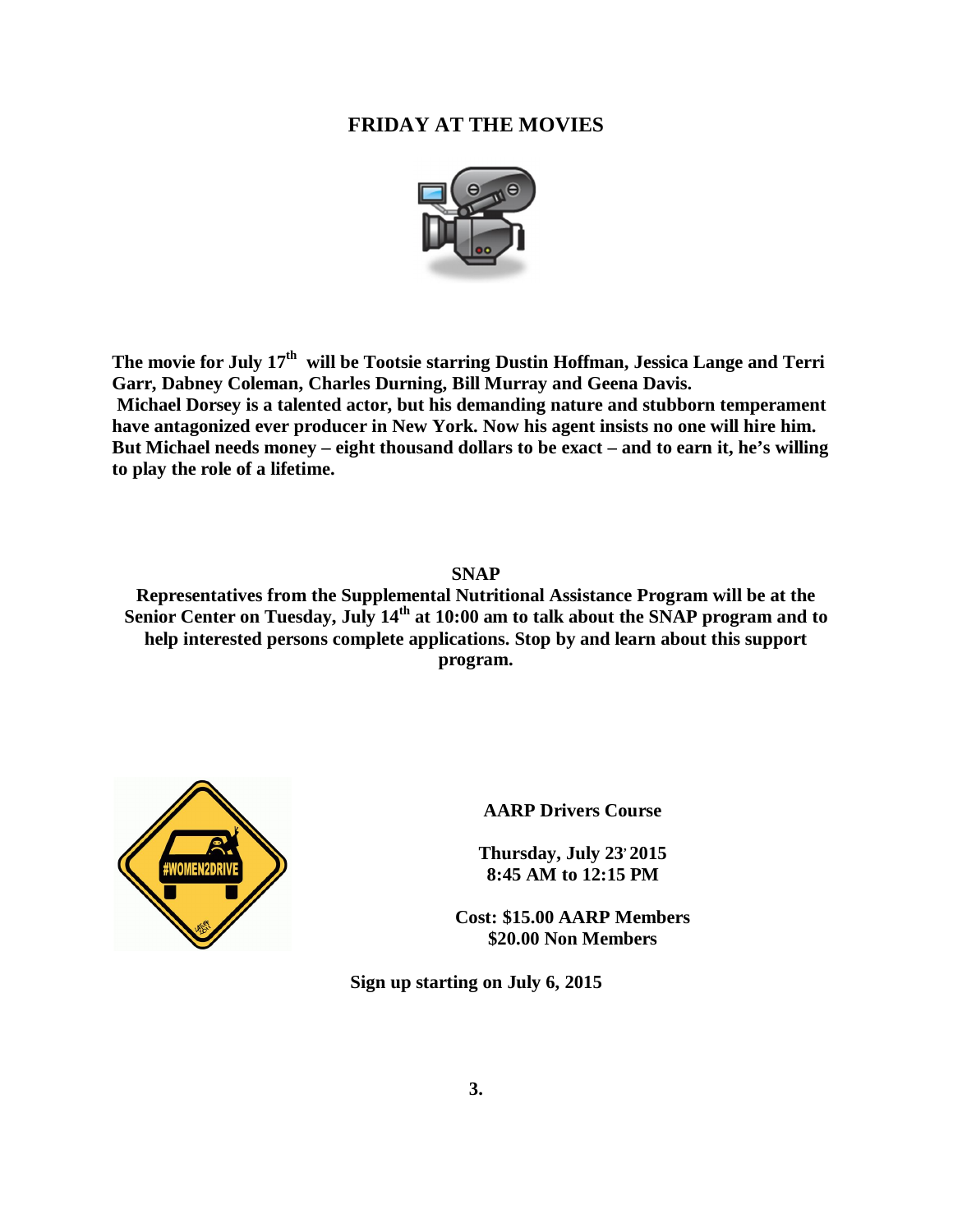# **FRIDAY AT THE MOVIES**



**The movie for July 17th will be Tootsie starring Dustin Hoffman, Jessica Lange and Terri Garr, Dabney Coleman, Charles Durning, Bill Murray and Geena Davis. Michael Dorsey is a talented actor, but his demanding nature and stubborn temperament have antagonized ever producer in New York. Now his agent insists no one will hire him. But Michael needs money – eight thousand dollars to be exact – and to earn it, he's willing to play the role of a lifetime.** 

**SNAP Representatives from the Supplemental Nutritional Assistance Program will be at the Senior Center on Tuesday, July 14th at 10:00 am to talk about the SNAP program and to help interested persons complete applications. Stop by and learn about this support program.** 



**AARP Drivers Course**

**Thursday, July 23, 2015 8:45 AM to 12:15 PM**

**Cost: \$15.00 AARP Members \$20.00 Non Members**

**Sign up starting on July 6, 2015**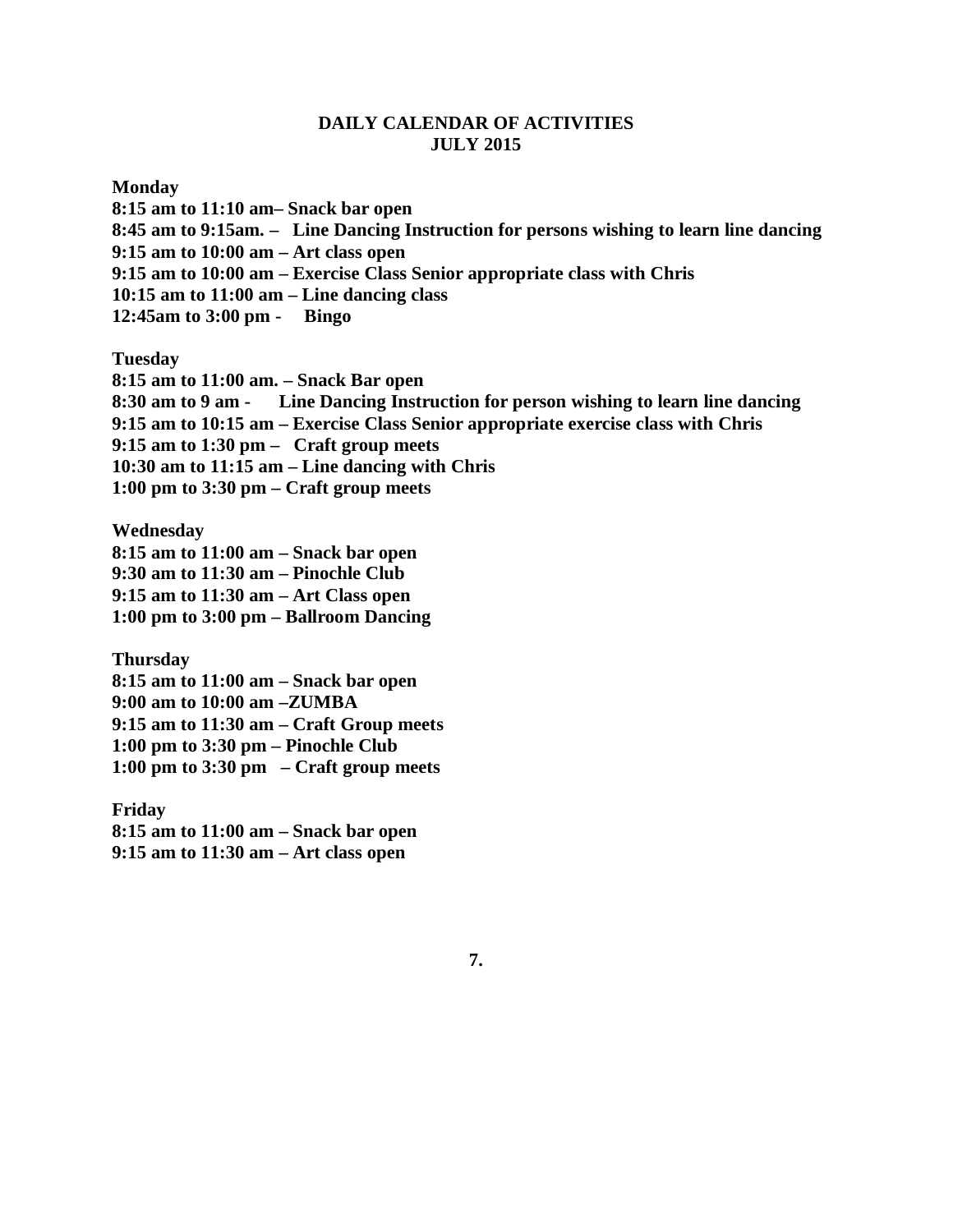#### **DAILY CALENDAR OF ACTIVITIES JULY 2015**

#### **Monday**

**8:15 am to 11:10 am– Snack bar open 8:45 am to 9:15am. – Line Dancing Instruction for persons wishing to learn line dancing 9:15 am to 10:00 am – Art class open 9:15 am to 10:00 am – Exercise Class Senior appropriate class with Chris 10:15 am to 11:00 am – Line dancing class 12:45am to 3:00 pm - Bingo**

**Tuesday**

**8:15 am to 11:00 am. – Snack Bar open 8:30 am to 9 am - Line Dancing Instruction for person wishing to learn line dancing 9:15 am to 10:15 am – Exercise Class Senior appropriate exercise class with Chris 9:15 am to 1:30 pm – Craft group meets 10:30 am to 11:15 am – Line dancing with Chris 1:00 pm to 3:30 pm – Craft group meets**

**Wednesday**

**8:15 am to 11:00 am – Snack bar open**

**9:30 am to 11:30 am – Pinochle Club**

**9:15 am to 11:30 am – Art Class open**

**1:00 pm to 3:00 pm – Ballroom Dancing**

**Thursday**

**8:15 am to 11:00 am – Snack bar open**

**9:00 am to 10:00 am –ZUMBA**

**9:15 am to 11:30 am – Craft Group meets**

**1:00 pm to 3:30 pm – Pinochle Club**

**1:00 pm to 3:30 pm – Craft group meets**

**Friday 8:15 am to 11:00 am – Snack bar open 9:15 am to 11:30 am – Art class open**

**7.**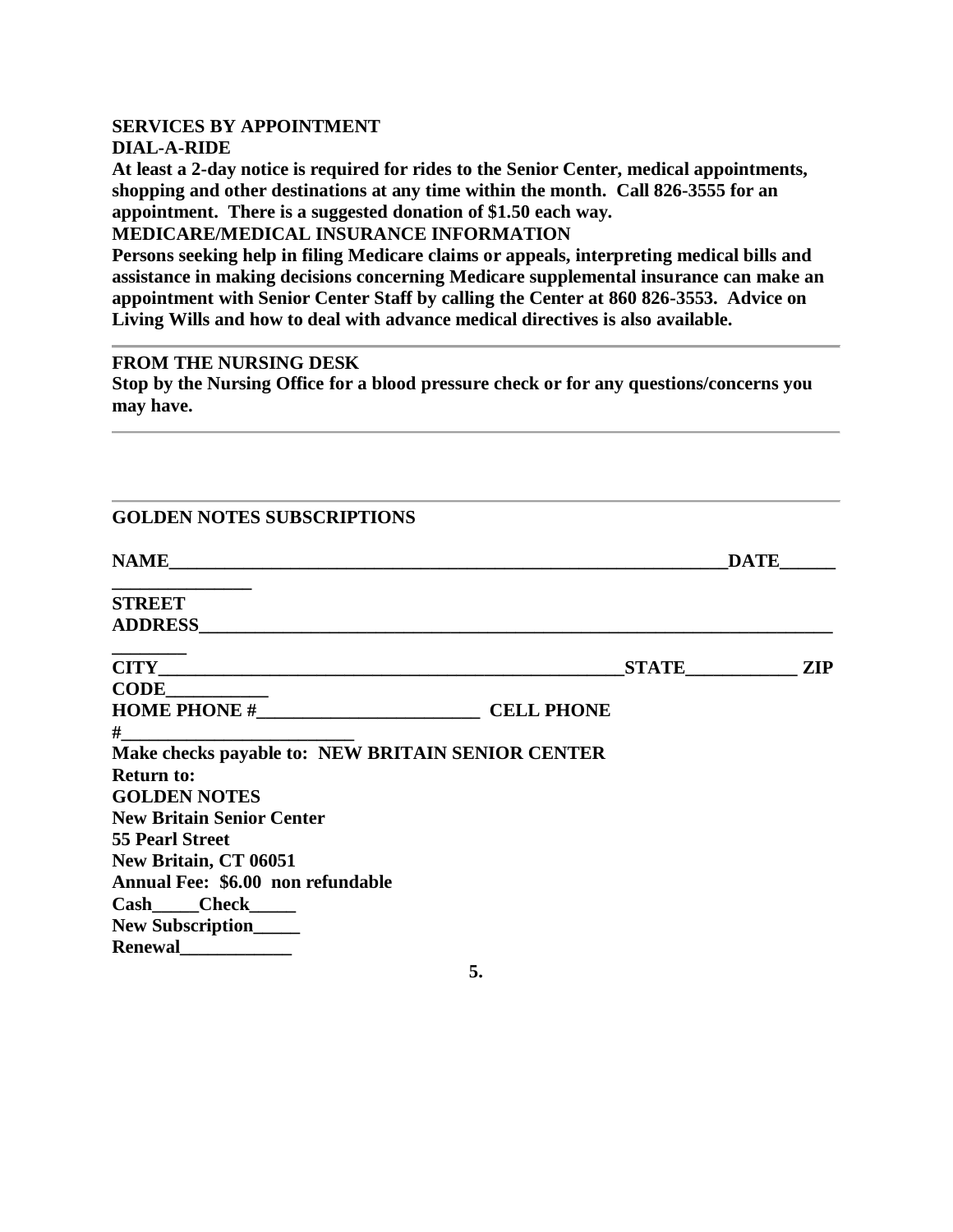# **SERVICES BY APPOINTMENT**

# **DIAL-A-RIDE**

**At least a 2-day notice is required for rides to the Senior Center, medical appointments, shopping and other destinations at any time within the month. Call 826-3555 for an appointment. There is a suggested donation of \$1.50 each way.**

**MEDICARE/MEDICAL INSURANCE INFORMATION**

**Persons seeking help in filing Medicare claims or appeals, interpreting medical bills and assistance in making decisions concerning Medicare supplemental insurance can make an appointment with Senior Center Staff by calling the Center at 860 826-3553. Advice on Living Wills and how to deal with advance medical directives is also available.**

# **FROM THE NURSING DESK**

**Stop by the Nursing Office for a blood pressure check or for any questions/concerns you may have.** 

| <b>GOLDEN NOTES SUBSCRIPTIONS</b>                                                                                                                                                                                             |    |           |             |  |
|-------------------------------------------------------------------------------------------------------------------------------------------------------------------------------------------------------------------------------|----|-----------|-------------|--|
|                                                                                                                                                                                                                               |    |           | <b>DATE</b> |  |
| <b>STREET</b>                                                                                                                                                                                                                 |    |           |             |  |
|                                                                                                                                                                                                                               |    | STATE ZIP |             |  |
| $CODE$ and $CODE$ and $CODE$ and $CDEF$                                                                                                                                                                                       |    |           |             |  |
|                                                                                                                                                                                                                               |    |           |             |  |
| $\#$ . The contract of the contract of the contract of the contract of the contract of the contract of the contract of the contract of the contract of the contract of the contract of the contract of the contract of the co |    |           |             |  |
| Make checks payable to: NEW BRITAIN SENIOR CENTER                                                                                                                                                                             |    |           |             |  |
| <b>Return to:</b>                                                                                                                                                                                                             |    |           |             |  |
| <b>GOLDEN NOTES</b>                                                                                                                                                                                                           |    |           |             |  |
| <b>New Britain Senior Center</b>                                                                                                                                                                                              |    |           |             |  |
| <b>55 Pearl Street</b>                                                                                                                                                                                                        |    |           |             |  |
| <b>New Britain, CT 06051</b>                                                                                                                                                                                                  |    |           |             |  |
| Annual Fee: \$6.00 non refundable                                                                                                                                                                                             |    |           |             |  |
| Cash____Check_____                                                                                                                                                                                                            |    |           |             |  |
| New Subscription_____                                                                                                                                                                                                         |    |           |             |  |
| Renewal                                                                                                                                                                                                                       |    |           |             |  |
|                                                                                                                                                                                                                               | 5. |           |             |  |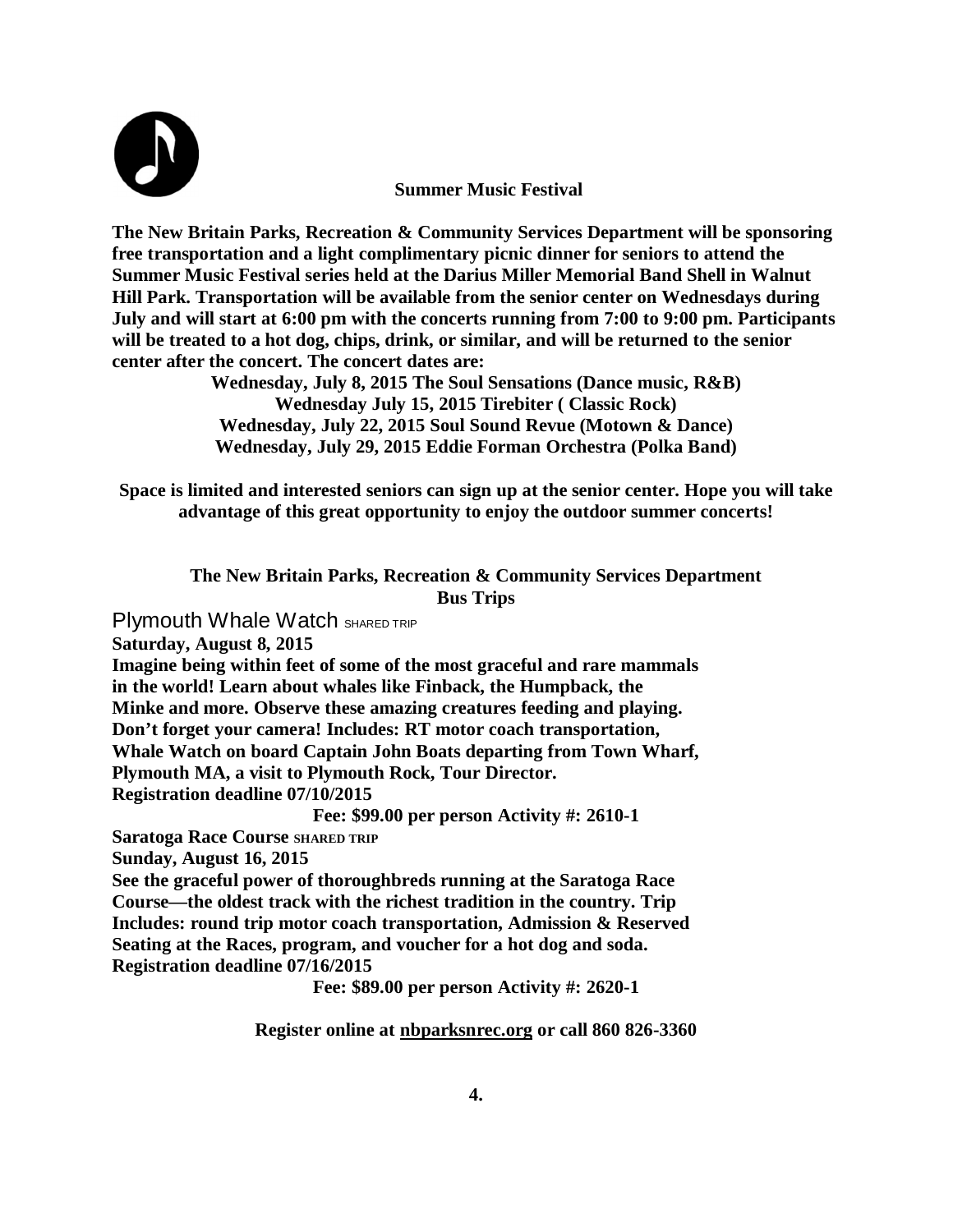

 **Summer Music Festival**

**The New Britain Parks, Recreation & Community Services Department will be sponsoring free transportation and a light complimentary picnic dinner for seniors to attend the Summer Music Festival series held at the Darius Miller Memorial Band Shell in Walnut Hill Park. Transportation will be available from the senior center on Wednesdays during July and will start at 6:00 pm with the concerts running from 7:00 to 9:00 pm. Participants will be treated to a hot dog, chips, drink, or similar, and will be returned to the senior center after the concert. The concert dates are:**

> **Wednesday, July 8, 2015 The Soul Sensations (Dance music, R&B) Wednesday July 15, 2015 Tirebiter ( Classic Rock) Wednesday, July 22, 2015 Soul Sound Revue (Motown & Dance) Wednesday, July 29, 2015 Eddie Forman Orchestra (Polka Band)**

**Space is limited and interested seniors can sign up at the senior center. Hope you will take advantage of this great opportunity to enjoy the outdoor summer concerts!**

**The New Britain Parks, Recreation & Community Services Department Bus Trips** 

Plymouth Whale Watch SHARED TRIP

**Saturday, August 8, 2015**

**Imagine being within feet of some of the most graceful and rare mammals in the world! Learn about whales like Finback, the Humpback, the Minke and more. Observe these amazing creatures feeding and playing. Don't forget your camera! Includes: RT motor coach transportation, Whale Watch on board Captain John Boats departing from Town Wharf, Plymouth MA, a visit to Plymouth Rock, Tour Director. Registration deadline 07/10/2015**

**Fee: \$99.00 per person Activity #: 2610-1**

**Saratoga Race Course SHARED TRIP** 

**Sunday, August 16, 2015**

**See the graceful power of thoroughbreds running at the Saratoga Race Course—the oldest track with the richest tradition in the country. Trip Includes: round trip motor coach transportation, Admission & Reserved Seating at the Races, program, and voucher for a hot dog and soda. Registration deadline 07/16/2015**

**Fee: \$89.00 per person Activity #: 2620-1**

**Register online at nbparksnrec.org or call 860 826-3360**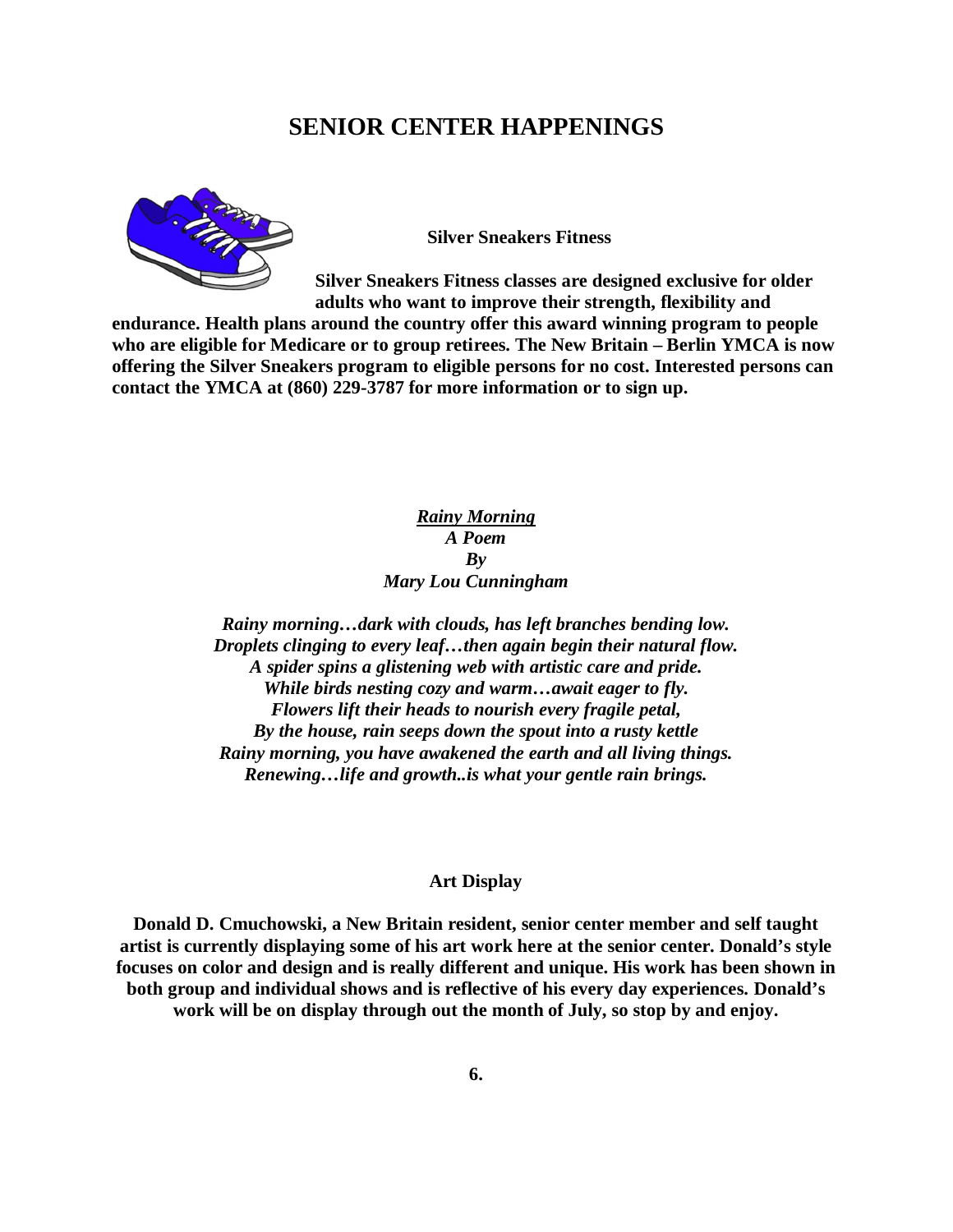# **SENIOR CENTER HAPPENINGS**



**Silver Sneakers Fitness**

**Silver Sneakers Fitness classes are designed exclusive for older adults who want to improve their strength, flexibility and** 

**endurance. Health plans around the country offer this award winning program to people who are eligible for Medicare or to group retirees. The New Britain – Berlin YMCA is now offering the Silver Sneakers program to eligible persons for no cost. Interested persons can contact the YMCA at (860) 229-3787 for more information or to sign up.** 

## *Rainy Morning A Poem By Mary Lou Cunningham*

*Rainy morning…dark with clouds, has left branches bending low. Droplets clinging to every leaf…then again begin their natural flow. A spider spins a glistening web with artistic care and pride. While birds nesting cozy and warm…await eager to fly. Flowers lift their heads to nourish every fragile petal, By the house, rain seeps down the spout into a rusty kettle Rainy morning, you have awakened the earth and all living things. Renewing…life and growth..is what your gentle rain brings.*

#### **Art Display**

**Donald D. Cmuchowski, a New Britain resident, senior center member and self taught artist is currently displaying some of his art work here at the senior center. Donald's style focuses on color and design and is really different and unique. His work has been shown in both group and individual shows and is reflective of his every day experiences. Donald's work will be on display through out the month of July, so stop by and enjoy.**